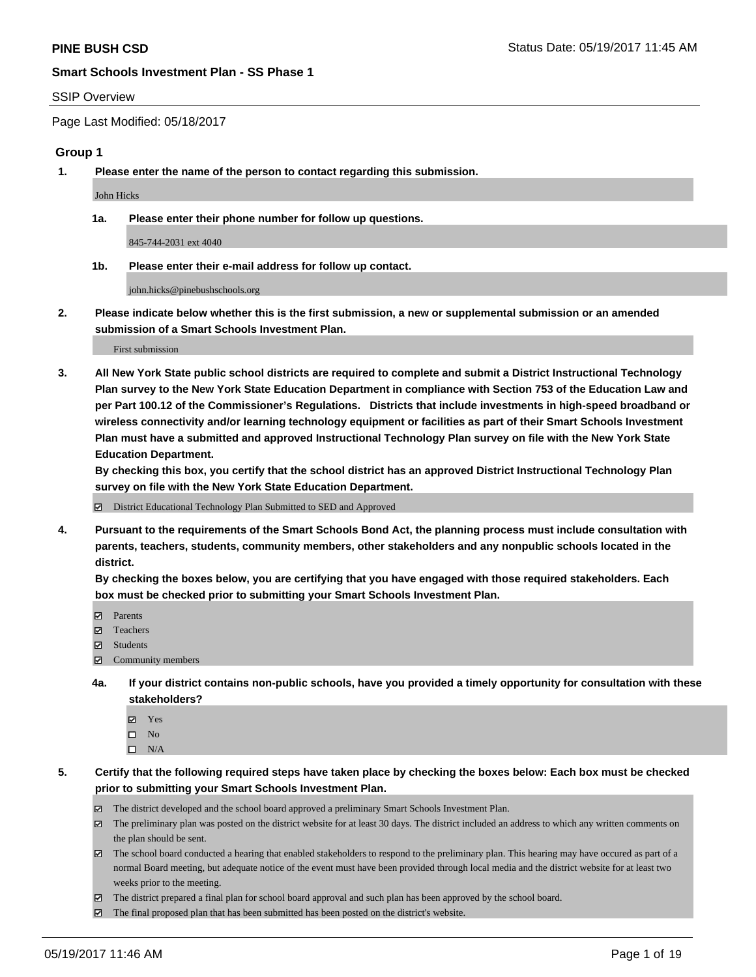#### SSIP Overview

Page Last Modified: 05/18/2017

### **Group 1**

**1. Please enter the name of the person to contact regarding this submission.**

John Hicks

**1a. Please enter their phone number for follow up questions.**

845-744-2031 ext 4040

**1b. Please enter their e-mail address for follow up contact.**

john.hicks@pinebushschools.org

**2. Please indicate below whether this is the first submission, a new or supplemental submission or an amended submission of a Smart Schools Investment Plan.**

First submission

**3. All New York State public school districts are required to complete and submit a District Instructional Technology Plan survey to the New York State Education Department in compliance with Section 753 of the Education Law and per Part 100.12 of the Commissioner's Regulations. Districts that include investments in high-speed broadband or wireless connectivity and/or learning technology equipment or facilities as part of their Smart Schools Investment Plan must have a submitted and approved Instructional Technology Plan survey on file with the New York State Education Department.** 

**By checking this box, you certify that the school district has an approved District Instructional Technology Plan survey on file with the New York State Education Department.**

District Educational Technology Plan Submitted to SED and Approved

**4. Pursuant to the requirements of the Smart Schools Bond Act, the planning process must include consultation with parents, teachers, students, community members, other stakeholders and any nonpublic schools located in the district.** 

**By checking the boxes below, you are certifying that you have engaged with those required stakeholders. Each box must be checked prior to submitting your Smart Schools Investment Plan.**

- **マ** Parents
- □ Teachers
- Students
- $\Xi$  Community members
- **4a. If your district contains non-public schools, have you provided a timely opportunity for consultation with these stakeholders?**
	- Yes
	- $\hfill \square$  No
	- $\square$  N/A
- **5. Certify that the following required steps have taken place by checking the boxes below: Each box must be checked prior to submitting your Smart Schools Investment Plan.**
	- The district developed and the school board approved a preliminary Smart Schools Investment Plan.
	- $\boxtimes$  The preliminary plan was posted on the district website for at least 30 days. The district included an address to which any written comments on the plan should be sent.
	- $\boxtimes$  The school board conducted a hearing that enabled stakeholders to respond to the preliminary plan. This hearing may have occured as part of a normal Board meeting, but adequate notice of the event must have been provided through local media and the district website for at least two weeks prior to the meeting.
	- The district prepared a final plan for school board approval and such plan has been approved by the school board.
	- $\boxtimes$  The final proposed plan that has been submitted has been posted on the district's website.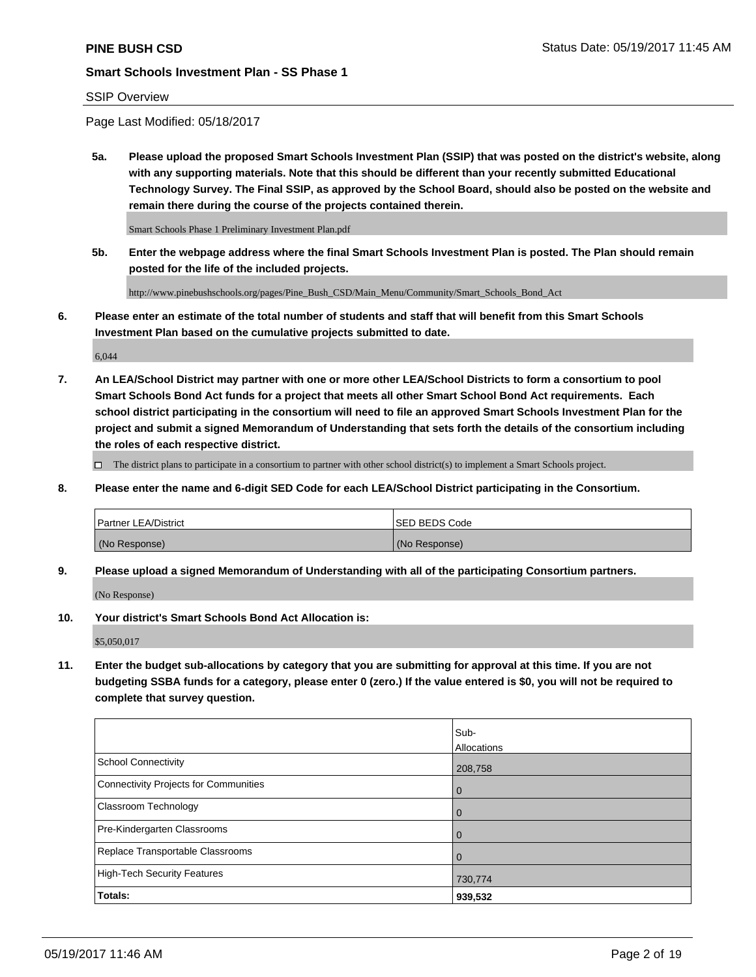## SSIP Overview

Page Last Modified: 05/18/2017

**5a. Please upload the proposed Smart Schools Investment Plan (SSIP) that was posted on the district's website, along with any supporting materials. Note that this should be different than your recently submitted Educational Technology Survey. The Final SSIP, as approved by the School Board, should also be posted on the website and remain there during the course of the projects contained therein.**

Smart Schools Phase 1 Preliminary Investment Plan.pdf

**5b. Enter the webpage address where the final Smart Schools Investment Plan is posted. The Plan should remain posted for the life of the included projects.**

http://www.pinebushschools.org/pages/Pine\_Bush\_CSD/Main\_Menu/Community/Smart\_Schools\_Bond\_Act

**6. Please enter an estimate of the total number of students and staff that will benefit from this Smart Schools Investment Plan based on the cumulative projects submitted to date.**

6,044

**7. An LEA/School District may partner with one or more other LEA/School Districts to form a consortium to pool Smart Schools Bond Act funds for a project that meets all other Smart School Bond Act requirements. Each school district participating in the consortium will need to file an approved Smart Schools Investment Plan for the project and submit a signed Memorandum of Understanding that sets forth the details of the consortium including the roles of each respective district.**

 $\Box$  The district plans to participate in a consortium to partner with other school district(s) to implement a Smart Schools project.

**8. Please enter the name and 6-digit SED Code for each LEA/School District participating in the Consortium.**

| <b>Partner LEA/District</b> | <b>ISED BEDS Code</b> |
|-----------------------------|-----------------------|
| (No Response)               | (No Response)         |

**9. Please upload a signed Memorandum of Understanding with all of the participating Consortium partners.**

(No Response)

**10. Your district's Smart Schools Bond Act Allocation is:**

\$5,050,017

**11. Enter the budget sub-allocations by category that you are submitting for approval at this time. If you are not budgeting SSBA funds for a category, please enter 0 (zero.) If the value entered is \$0, you will not be required to complete that survey question.**

|                                              | Sub-        |
|----------------------------------------------|-------------|
|                                              | Allocations |
| <b>School Connectivity</b>                   | 208,758     |
| <b>Connectivity Projects for Communities</b> | 0           |
| <b>Classroom Technology</b>                  | 0           |
| Pre-Kindergarten Classrooms                  | $\mathbf 0$ |
| Replace Transportable Classrooms             | 0           |
| <b>High-Tech Security Features</b>           | 730,774     |
| Totals:                                      | 939,532     |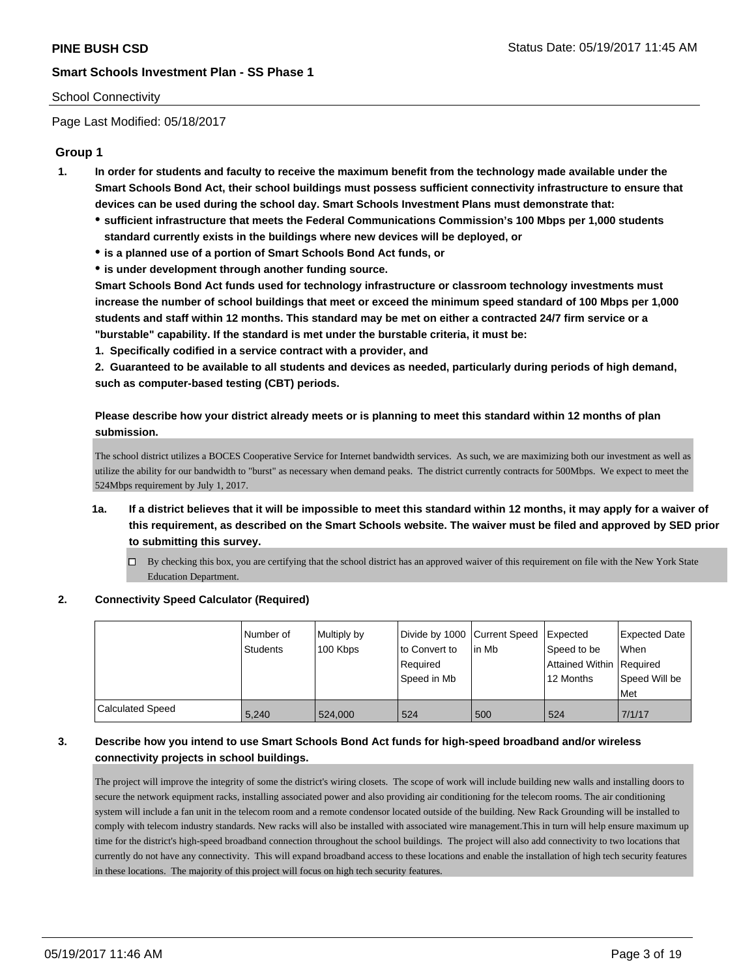### School Connectivity

Page Last Modified: 05/18/2017

## **Group 1**

- **1. In order for students and faculty to receive the maximum benefit from the technology made available under the Smart Schools Bond Act, their school buildings must possess sufficient connectivity infrastructure to ensure that devices can be used during the school day. Smart Schools Investment Plans must demonstrate that:**
	- **sufficient infrastructure that meets the Federal Communications Commission's 100 Mbps per 1,000 students standard currently exists in the buildings where new devices will be deployed, or**
	- **is a planned use of a portion of Smart Schools Bond Act funds, or**
	- **is under development through another funding source.**

**Smart Schools Bond Act funds used for technology infrastructure or classroom technology investments must increase the number of school buildings that meet or exceed the minimum speed standard of 100 Mbps per 1,000 students and staff within 12 months. This standard may be met on either a contracted 24/7 firm service or a "burstable" capability. If the standard is met under the burstable criteria, it must be:**

**1. Specifically codified in a service contract with a provider, and**

**2. Guaranteed to be available to all students and devices as needed, particularly during periods of high demand, such as computer-based testing (CBT) periods.**

**Please describe how your district already meets or is planning to meet this standard within 12 months of plan submission.**

The school district utilizes a BOCES Cooperative Service for Internet bandwidth services. As such, we are maximizing both our investment as well as utilize the ability for our bandwidth to "burst" as necessary when demand peaks. The district currently contracts for 500Mbps. We expect to meet the 524Mbps requirement by July 1, 2017.

- **1a. If a district believes that it will be impossible to meet this standard within 12 months, it may apply for a waiver of this requirement, as described on the Smart Schools website. The waiver must be filed and approved by SED prior to submitting this survey.**
	- By checking this box, you are certifying that the school district has an approved waiver of this requirement on file with the New York State Education Department.

#### **2. Connectivity Speed Calculator (Required)**

|                  | Number of<br><b>Students</b> | Multiply by<br>100 Kbps | Divide by 1000 Current Speed<br>to Convert to<br>Required<br>Speed in Mb | lin Mb | Expected<br>Speed to be<br>Attained Within   Required<br>12 Months | <b>Expected Date</b><br>When<br>Speed Will be<br><b>Met</b> |
|------------------|------------------------------|-------------------------|--------------------------------------------------------------------------|--------|--------------------------------------------------------------------|-------------------------------------------------------------|
| Calculated Speed | 5,240                        | 524.000                 | 524                                                                      | 500    | 524                                                                | 7/1/17                                                      |

## **3. Describe how you intend to use Smart Schools Bond Act funds for high-speed broadband and/or wireless connectivity projects in school buildings.**

The project will improve the integrity of some the district's wiring closets. The scope of work will include building new walls and installing doors to secure the network equipment racks, installing associated power and also providing air conditioning for the telecom rooms. The air conditioning system will include a fan unit in the telecom room and a remote condensor located outside of the building. New Rack Grounding will be installed to comply with telecom industry standards. New racks will also be installed with associated wire management.This in turn will help ensure maximum up time for the district's high-speed broadband connection throughout the school buildings. The project will also add connectivity to two locations that currently do not have any connectivity. This will expand broadband access to these locations and enable the installation of high tech security features in these locations. The majority of this project will focus on high tech security features.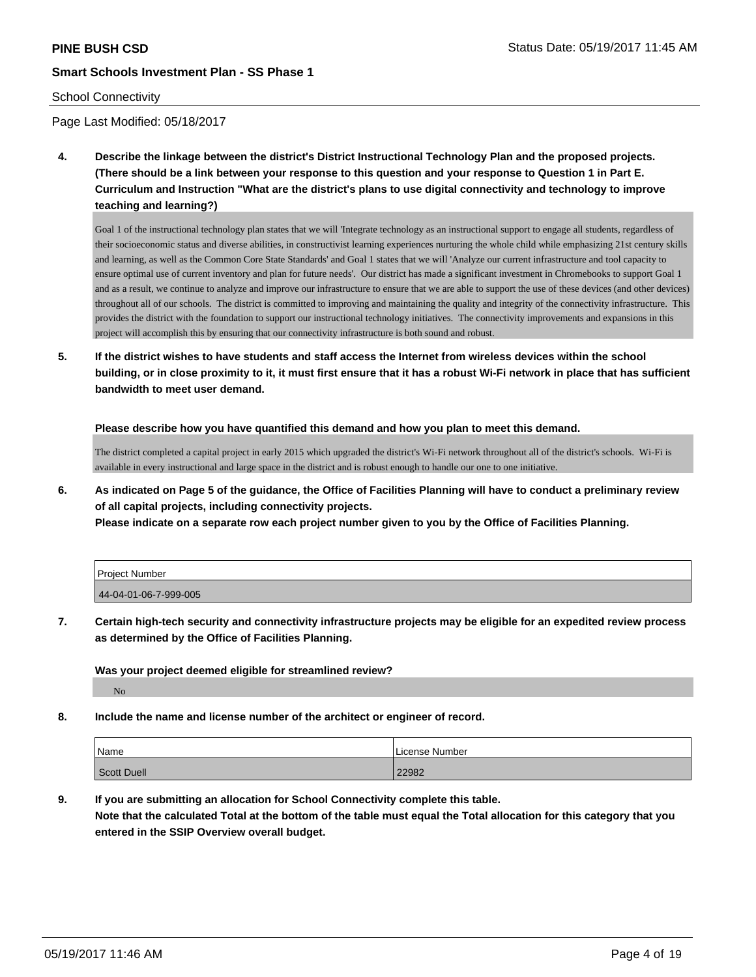### School Connectivity

Page Last Modified: 05/18/2017

**4. Describe the linkage between the district's District Instructional Technology Plan and the proposed projects. (There should be a link between your response to this question and your response to Question 1 in Part E. Curriculum and Instruction "What are the district's plans to use digital connectivity and technology to improve teaching and learning?)**

Goal 1 of the instructional technology plan states that we will 'Integrate technology as an instructional support to engage all students, regardless of their socioeconomic status and diverse abilities, in constructivist learning experiences nurturing the whole child while emphasizing 21st century skills and learning, as well as the Common Core State Standards' and Goal 1 states that we will 'Analyze our current infrastructure and tool capacity to ensure optimal use of current inventory and plan for future needs'. Our district has made a significant investment in Chromebooks to support Goal 1 and as a result, we continue to analyze and improve our infrastructure to ensure that we are able to support the use of these devices (and other devices) throughout all of our schools. The district is committed to improving and maintaining the quality and integrity of the connectivity infrastructure. This provides the district with the foundation to support our instructional technology initiatives. The connectivity improvements and expansions in this project will accomplish this by ensuring that our connectivity infrastructure is both sound and robust.

**5. If the district wishes to have students and staff access the Internet from wireless devices within the school building, or in close proximity to it, it must first ensure that it has a robust Wi-Fi network in place that has sufficient bandwidth to meet user demand.**

**Please describe how you have quantified this demand and how you plan to meet this demand.**

The district completed a capital project in early 2015 which upgraded the district's Wi-Fi network throughout all of the district's schools. Wi-Fi is available in every instructional and large space in the district and is robust enough to handle our one to one initiative.

**6. As indicated on Page 5 of the guidance, the Office of Facilities Planning will have to conduct a preliminary review of all capital projects, including connectivity projects.**

**Please indicate on a separate row each project number given to you by the Office of Facilities Planning.**

| <b>Project Number</b> |  |
|-----------------------|--|
| 44-04-01-06-7-999-005 |  |

**7. Certain high-tech security and connectivity infrastructure projects may be eligible for an expedited review process as determined by the Office of Facilities Planning.**

**Was your project deemed eligible for streamlined review?**

No

**8. Include the name and license number of the architect or engineer of record.**

| Name        | License Number |
|-------------|----------------|
| Scott Duell | 22982          |

**9. If you are submitting an allocation for School Connectivity complete this table. Note that the calculated Total at the bottom of the table must equal the Total allocation for this category that you entered in the SSIP Overview overall budget.**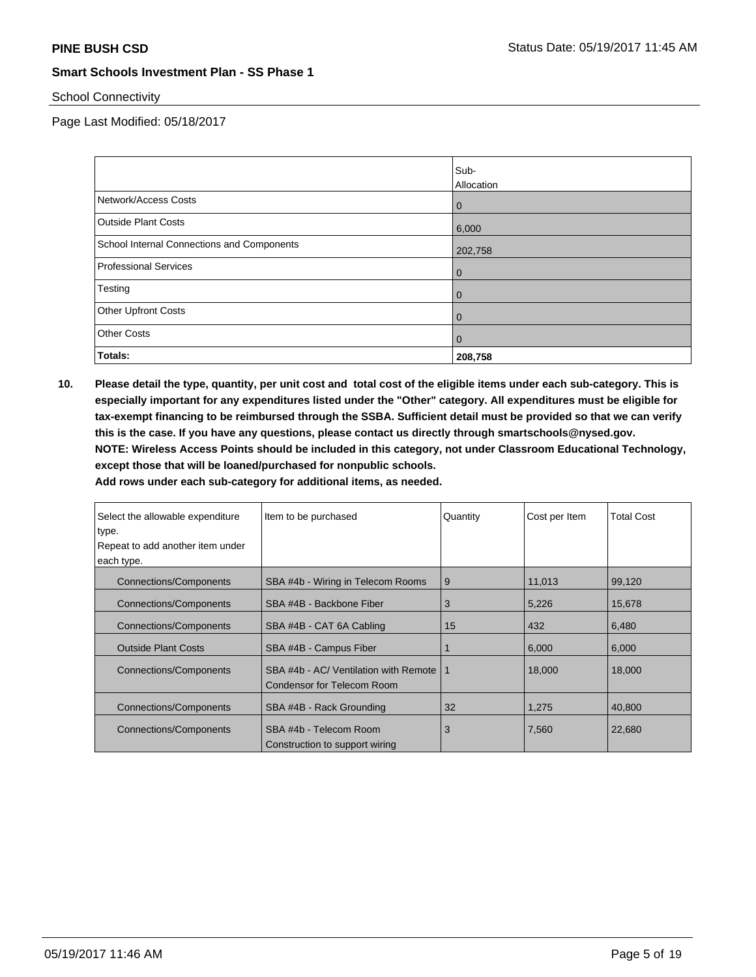## School Connectivity

Page Last Modified: 05/18/2017

|                                            | Sub-                      |
|--------------------------------------------|---------------------------|
| Network/Access Costs                       | Allocation<br>$\mathbf 0$ |
| <b>Outside Plant Costs</b>                 | 6,000                     |
| School Internal Connections and Components | 202,758                   |
| <b>Professional Services</b>               | $\mathbf 0$               |
| Testing                                    | $\mathbf 0$               |
| Other Upfront Costs                        | $\mathbf{0}$              |
| <b>Other Costs</b>                         | $\mathbf{0}$              |
| Totals:                                    | 208,758                   |

**10. Please detail the type, quantity, per unit cost and total cost of the eligible items under each sub-category. This is especially important for any expenditures listed under the "Other" category. All expenditures must be eligible for tax-exempt financing to be reimbursed through the SSBA. Sufficient detail must be provided so that we can verify this is the case. If you have any questions, please contact us directly through smartschools@nysed.gov. NOTE: Wireless Access Points should be included in this category, not under Classroom Educational Technology, except those that will be loaned/purchased for nonpublic schools.**

| Select the allowable expenditure<br>type.<br>Repeat to add another item under<br>each type. | Item to be purchased                                                | Quantity | Cost per Item | <b>Total Cost</b> |
|---------------------------------------------------------------------------------------------|---------------------------------------------------------------------|----------|---------------|-------------------|
| <b>Connections/Components</b>                                                               | SBA #4b - Wiring in Telecom Rooms                                   | 9        | 11,013        | 99,120            |
| <b>Connections/Components</b>                                                               | SBA #4B - Backbone Fiber                                            | 3        | 5,226         | 15,678            |
| Connections/Components                                                                      | SBA #4B - CAT 6A Cabling                                            | 15       | 432           | 6,480             |
| <b>Outside Plant Costs</b>                                                                  | SBA #4B - Campus Fiber                                              |          | 6,000         | 6,000             |
| <b>Connections/Components</b>                                                               | SBA #4b - AC/ Ventilation with Remote<br>Condensor for Telecom Room | 1        | 18,000        | 18,000            |
| <b>Connections/Components</b>                                                               | SBA #4B - Rack Grounding                                            | 32       | 1.275         | 40.800            |
| <b>Connections/Components</b>                                                               | SBA #4b - Telecom Room<br>Construction to support wiring            | 3        | 7,560         | 22,680            |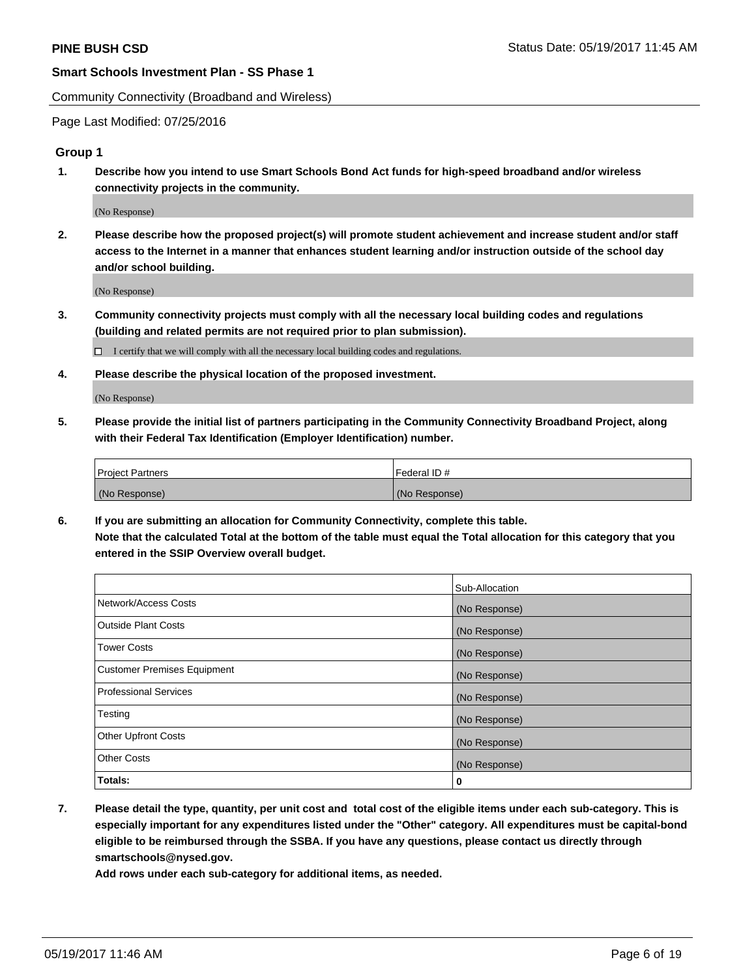Community Connectivity (Broadband and Wireless)

Page Last Modified: 07/25/2016

#### **Group 1**

**1. Describe how you intend to use Smart Schools Bond Act funds for high-speed broadband and/or wireless connectivity projects in the community.**

(No Response)

**2. Please describe how the proposed project(s) will promote student achievement and increase student and/or staff access to the Internet in a manner that enhances student learning and/or instruction outside of the school day and/or school building.**

(No Response)

**3. Community connectivity projects must comply with all the necessary local building codes and regulations (building and related permits are not required prior to plan submission).**

 $\Box$  I certify that we will comply with all the necessary local building codes and regulations.

**4. Please describe the physical location of the proposed investment.**

(No Response)

**5. Please provide the initial list of partners participating in the Community Connectivity Broadband Project, along with their Federal Tax Identification (Employer Identification) number.**

| <b>Project Partners</b> | Federal ID#     |
|-------------------------|-----------------|
| (No Response)           | l (No Response) |

**6. If you are submitting an allocation for Community Connectivity, complete this table. Note that the calculated Total at the bottom of the table must equal the Total allocation for this category that you entered in the SSIP Overview overall budget.**

|                                    | Sub-Allocation |
|------------------------------------|----------------|
| Network/Access Costs               | (No Response)  |
| Outside Plant Costs                | (No Response)  |
| Tower Costs                        | (No Response)  |
| <b>Customer Premises Equipment</b> | (No Response)  |
| <b>Professional Services</b>       | (No Response)  |
| Testing                            | (No Response)  |
| <b>Other Upfront Costs</b>         | (No Response)  |
| <b>Other Costs</b>                 | (No Response)  |
| Totals:                            | 0              |

**7. Please detail the type, quantity, per unit cost and total cost of the eligible items under each sub-category. This is especially important for any expenditures listed under the "Other" category. All expenditures must be capital-bond eligible to be reimbursed through the SSBA. If you have any questions, please contact us directly through smartschools@nysed.gov.**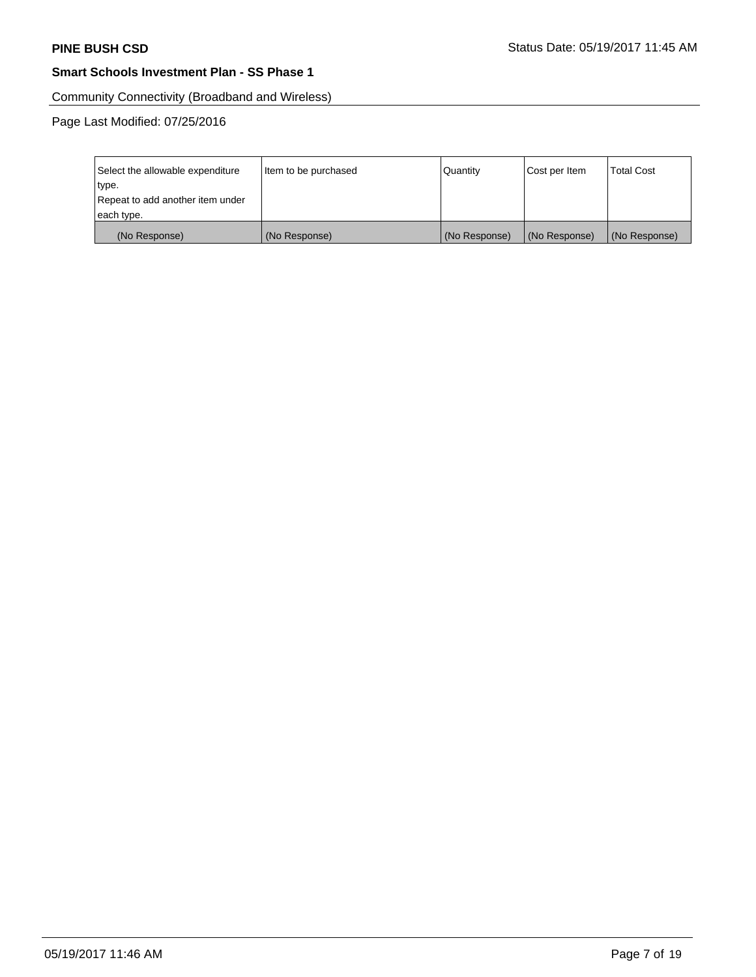Community Connectivity (Broadband and Wireless)

Page Last Modified: 07/25/2016

| Select the allowable expenditure<br>type.      | Item to be purchased | Quantity      | Cost per Item | <b>Total Cost</b> |
|------------------------------------------------|----------------------|---------------|---------------|-------------------|
| Repeat to add another item under<br>each type. |                      |               |               |                   |
| (No Response)                                  | (No Response)        | (No Response) | (No Response) | (No Response)     |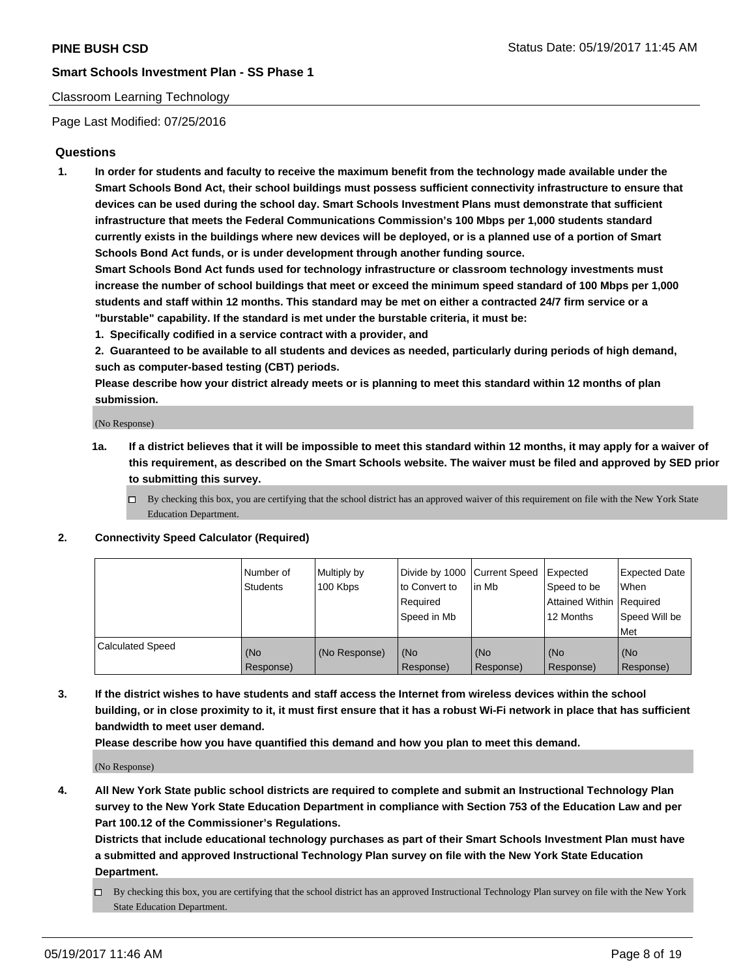### Classroom Learning Technology

Page Last Modified: 07/25/2016

## **Questions**

**1. In order for students and faculty to receive the maximum benefit from the technology made available under the Smart Schools Bond Act, their school buildings must possess sufficient connectivity infrastructure to ensure that devices can be used during the school day. Smart Schools Investment Plans must demonstrate that sufficient infrastructure that meets the Federal Communications Commission's 100 Mbps per 1,000 students standard currently exists in the buildings where new devices will be deployed, or is a planned use of a portion of Smart Schools Bond Act funds, or is under development through another funding source.**

**Smart Schools Bond Act funds used for technology infrastructure or classroom technology investments must increase the number of school buildings that meet or exceed the minimum speed standard of 100 Mbps per 1,000 students and staff within 12 months. This standard may be met on either a contracted 24/7 firm service or a "burstable" capability. If the standard is met under the burstable criteria, it must be:**

- **1. Specifically codified in a service contract with a provider, and**
- **2. Guaranteed to be available to all students and devices as needed, particularly during periods of high demand, such as computer-based testing (CBT) periods.**

**Please describe how your district already meets or is planning to meet this standard within 12 months of plan submission.**

(No Response)

- **1a. If a district believes that it will be impossible to meet this standard within 12 months, it may apply for a waiver of this requirement, as described on the Smart Schools website. The waiver must be filed and approved by SED prior to submitting this survey.**
	- $\Box$  By checking this box, you are certifying that the school district has an approved waiver of this requirement on file with the New York State Education Department.

#### **2. Connectivity Speed Calculator (Required)**

|                         | l Number of<br>Students | Multiply by<br>100 Kbps | Divide by 1000   Current Speed<br>to Convert to<br>Required<br>Speed in Mb | lin Mb           | Expected<br>Speed to be<br>Attained Within Required<br>12 Months | <b>Expected Date</b><br>When<br>Speed Will be<br>Met |
|-------------------------|-------------------------|-------------------------|----------------------------------------------------------------------------|------------------|------------------------------------------------------------------|------------------------------------------------------|
| <b>Calculated Speed</b> | (No<br>Response)        | (No Response)           | (No<br>Response)                                                           | (No<br>Response) | (No<br>Response)                                                 | (No<br>Response)                                     |

**3. If the district wishes to have students and staff access the Internet from wireless devices within the school building, or in close proximity to it, it must first ensure that it has a robust Wi-Fi network in place that has sufficient bandwidth to meet user demand.**

**Please describe how you have quantified this demand and how you plan to meet this demand.**

(No Response)

**4. All New York State public school districts are required to complete and submit an Instructional Technology Plan survey to the New York State Education Department in compliance with Section 753 of the Education Law and per Part 100.12 of the Commissioner's Regulations.**

**Districts that include educational technology purchases as part of their Smart Schools Investment Plan must have a submitted and approved Instructional Technology Plan survey on file with the New York State Education Department.**

 $\Box$  By checking this box, you are certifying that the school district has an approved Instructional Technology Plan survey on file with the New York State Education Department.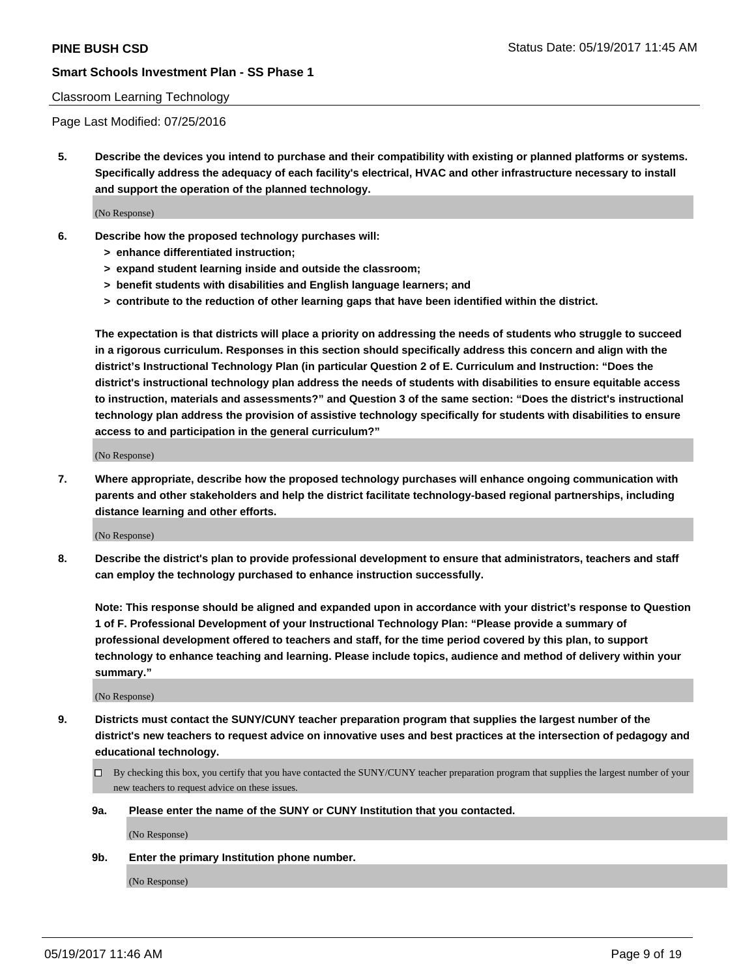#### Classroom Learning Technology

Page Last Modified: 07/25/2016

**5. Describe the devices you intend to purchase and their compatibility with existing or planned platforms or systems. Specifically address the adequacy of each facility's electrical, HVAC and other infrastructure necessary to install and support the operation of the planned technology.**

(No Response)

- **6. Describe how the proposed technology purchases will:**
	- **> enhance differentiated instruction;**
	- **> expand student learning inside and outside the classroom;**
	- **> benefit students with disabilities and English language learners; and**
	- **> contribute to the reduction of other learning gaps that have been identified within the district.**

**The expectation is that districts will place a priority on addressing the needs of students who struggle to succeed in a rigorous curriculum. Responses in this section should specifically address this concern and align with the district's Instructional Technology Plan (in particular Question 2 of E. Curriculum and Instruction: "Does the district's instructional technology plan address the needs of students with disabilities to ensure equitable access to instruction, materials and assessments?" and Question 3 of the same section: "Does the district's instructional technology plan address the provision of assistive technology specifically for students with disabilities to ensure access to and participation in the general curriculum?"**

(No Response)

**7. Where appropriate, describe how the proposed technology purchases will enhance ongoing communication with parents and other stakeholders and help the district facilitate technology-based regional partnerships, including distance learning and other efforts.**

(No Response)

**8. Describe the district's plan to provide professional development to ensure that administrators, teachers and staff can employ the technology purchased to enhance instruction successfully.**

**Note: This response should be aligned and expanded upon in accordance with your district's response to Question 1 of F. Professional Development of your Instructional Technology Plan: "Please provide a summary of professional development offered to teachers and staff, for the time period covered by this plan, to support technology to enhance teaching and learning. Please include topics, audience and method of delivery within your summary."**

(No Response)

- **9. Districts must contact the SUNY/CUNY teacher preparation program that supplies the largest number of the district's new teachers to request advice on innovative uses and best practices at the intersection of pedagogy and educational technology.**
	- By checking this box, you certify that you have contacted the SUNY/CUNY teacher preparation program that supplies the largest number of your new teachers to request advice on these issues.
	- **9a. Please enter the name of the SUNY or CUNY Institution that you contacted.**

(No Response)

**9b. Enter the primary Institution phone number.**

(No Response)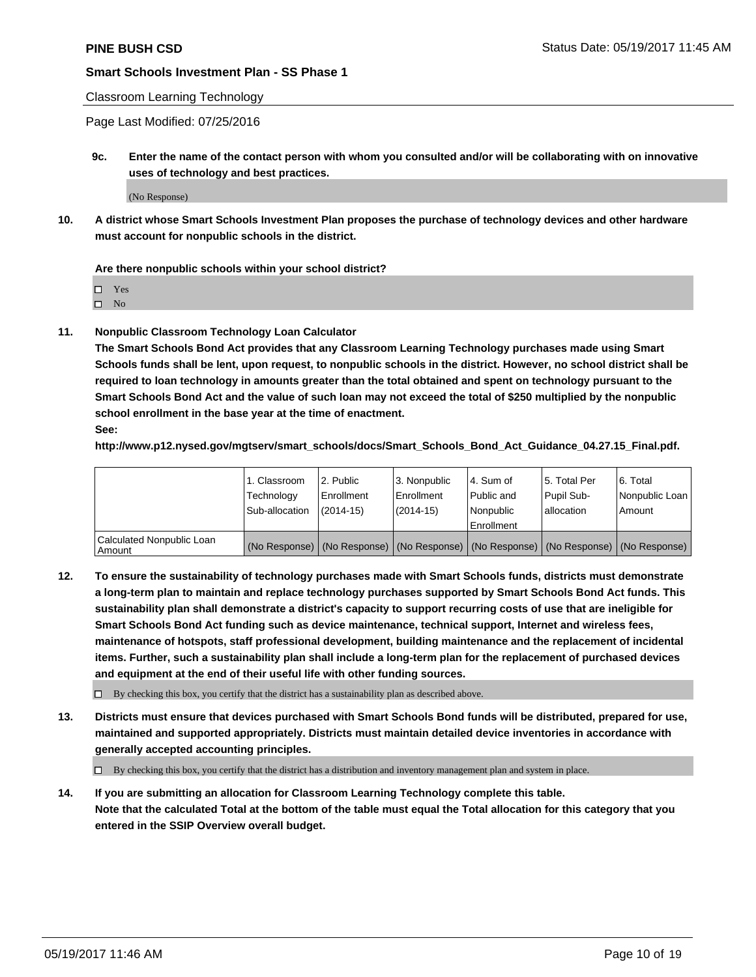### Classroom Learning Technology

Page Last Modified: 07/25/2016

**9c. Enter the name of the contact person with whom you consulted and/or will be collaborating with on innovative uses of technology and best practices.**

(No Response)

**10. A district whose Smart Schools Investment Plan proposes the purchase of technology devices and other hardware must account for nonpublic schools in the district.**

**Are there nonpublic schools within your school district?**

Yes

 $\square$  No

**11. Nonpublic Classroom Technology Loan Calculator**

**The Smart Schools Bond Act provides that any Classroom Learning Technology purchases made using Smart Schools funds shall be lent, upon request, to nonpublic schools in the district. However, no school district shall be required to loan technology in amounts greater than the total obtained and spent on technology pursuant to the Smart Schools Bond Act and the value of such loan may not exceed the total of \$250 multiplied by the nonpublic school enrollment in the base year at the time of enactment.**

**See:**

**http://www.p12.nysed.gov/mgtserv/smart\_schools/docs/Smart\_Schools\_Bond\_Act\_Guidance\_04.27.15\_Final.pdf.**

|                                       | 1. Classroom   | l 2. Public   | 3. Nonpublic | l 4. Sum of | 15. Total Per                                                                                 | 6. Total       |
|---------------------------------------|----------------|---------------|--------------|-------------|-----------------------------------------------------------------------------------------------|----------------|
|                                       | Technology     | Enrollment    | Enrollment   | Public and  | Pupil Sub-                                                                                    | Nonpublic Loan |
|                                       | Sub-allocation | $(2014 - 15)$ | $(2014-15)$  | l Nonpublic | allocation                                                                                    | Amount         |
|                                       |                |               |              | Enrollment  |                                                                                               |                |
| Calculated Nonpublic Loan<br>  Amount |                |               |              |             | (No Response)   (No Response)   (No Response)   (No Response)   (No Response)   (No Response) |                |

**12. To ensure the sustainability of technology purchases made with Smart Schools funds, districts must demonstrate a long-term plan to maintain and replace technology purchases supported by Smart Schools Bond Act funds. This sustainability plan shall demonstrate a district's capacity to support recurring costs of use that are ineligible for Smart Schools Bond Act funding such as device maintenance, technical support, Internet and wireless fees, maintenance of hotspots, staff professional development, building maintenance and the replacement of incidental items. Further, such a sustainability plan shall include a long-term plan for the replacement of purchased devices and equipment at the end of their useful life with other funding sources.**

 $\Box$  By checking this box, you certify that the district has a sustainability plan as described above.

**13. Districts must ensure that devices purchased with Smart Schools Bond funds will be distributed, prepared for use, maintained and supported appropriately. Districts must maintain detailed device inventories in accordance with generally accepted accounting principles.**

By checking this box, you certify that the district has a distribution and inventory management plan and system in place.

**14. If you are submitting an allocation for Classroom Learning Technology complete this table. Note that the calculated Total at the bottom of the table must equal the Total allocation for this category that you entered in the SSIP Overview overall budget.**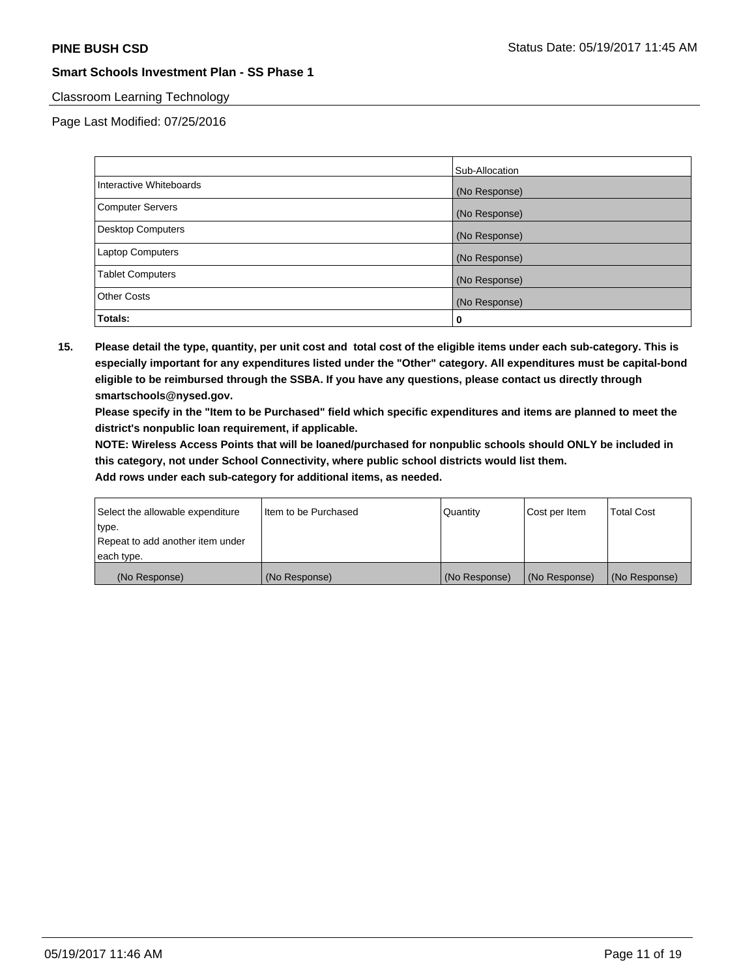## Classroom Learning Technology

Page Last Modified: 07/25/2016

|                         | Sub-Allocation |
|-------------------------|----------------|
| Interactive Whiteboards | (No Response)  |
| Computer Servers        | (No Response)  |
| Desktop Computers       | (No Response)  |
| <b>Laptop Computers</b> | (No Response)  |
| <b>Tablet Computers</b> | (No Response)  |
| <b>Other Costs</b>      | (No Response)  |
| Totals:                 | 0              |

**15. Please detail the type, quantity, per unit cost and total cost of the eligible items under each sub-category. This is especially important for any expenditures listed under the "Other" category. All expenditures must be capital-bond eligible to be reimbursed through the SSBA. If you have any questions, please contact us directly through smartschools@nysed.gov.**

**Please specify in the "Item to be Purchased" field which specific expenditures and items are planned to meet the district's nonpublic loan requirement, if applicable.**

**NOTE: Wireless Access Points that will be loaned/purchased for nonpublic schools should ONLY be included in this category, not under School Connectivity, where public school districts would list them.**

| type.<br>Repeat to add another item under |               |               |               |               |
|-------------------------------------------|---------------|---------------|---------------|---------------|
| each type.                                |               |               |               |               |
| (No Response)                             | (No Response) | (No Response) | (No Response) | (No Response) |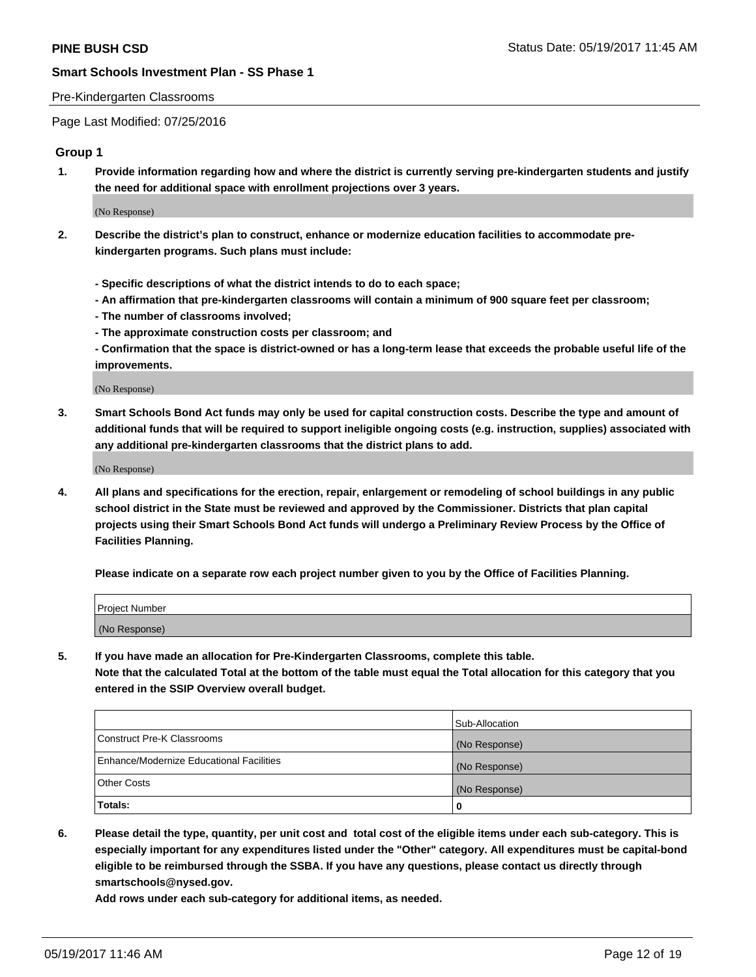#### Pre-Kindergarten Classrooms

Page Last Modified: 07/25/2016

### **Group 1**

**1. Provide information regarding how and where the district is currently serving pre-kindergarten students and justify the need for additional space with enrollment projections over 3 years.**

(No Response)

- **2. Describe the district's plan to construct, enhance or modernize education facilities to accommodate prekindergarten programs. Such plans must include:**
	- **Specific descriptions of what the district intends to do to each space;**
	- **An affirmation that pre-kindergarten classrooms will contain a minimum of 900 square feet per classroom;**
	- **The number of classrooms involved;**
	- **The approximate construction costs per classroom; and**
	- **Confirmation that the space is district-owned or has a long-term lease that exceeds the probable useful life of the improvements.**

(No Response)

**3. Smart Schools Bond Act funds may only be used for capital construction costs. Describe the type and amount of additional funds that will be required to support ineligible ongoing costs (e.g. instruction, supplies) associated with any additional pre-kindergarten classrooms that the district plans to add.**

(No Response)

**4. All plans and specifications for the erection, repair, enlargement or remodeling of school buildings in any public school district in the State must be reviewed and approved by the Commissioner. Districts that plan capital projects using their Smart Schools Bond Act funds will undergo a Preliminary Review Process by the Office of Facilities Planning.**

**Please indicate on a separate row each project number given to you by the Office of Facilities Planning.**

| Project Number |  |
|----------------|--|
| (No Response)  |  |

**5. If you have made an allocation for Pre-Kindergarten Classrooms, complete this table. Note that the calculated Total at the bottom of the table must equal the Total allocation for this category that you entered in the SSIP Overview overall budget.**

| Totals:                                  | 0              |
|------------------------------------------|----------------|
| Other Costs                              | (No Response)  |
| Enhance/Modernize Educational Facilities | (No Response)  |
| Construct Pre-K Classrooms               | (No Response)  |
|                                          | Sub-Allocation |

**6. Please detail the type, quantity, per unit cost and total cost of the eligible items under each sub-category. This is especially important for any expenditures listed under the "Other" category. All expenditures must be capital-bond eligible to be reimbursed through the SSBA. If you have any questions, please contact us directly through smartschools@nysed.gov.**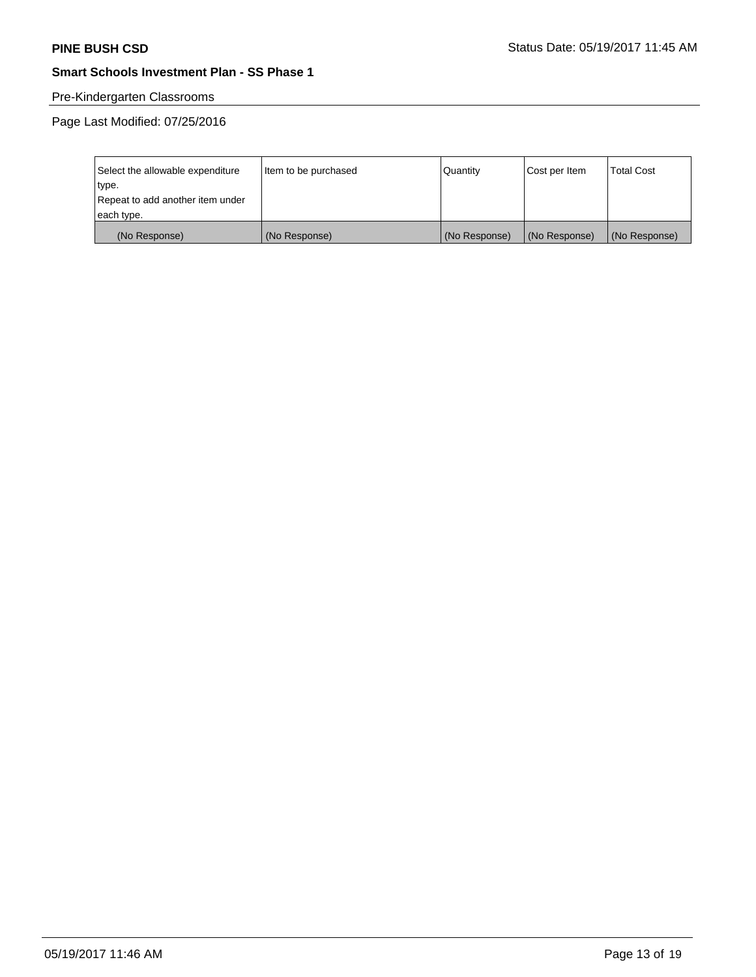# Pre-Kindergarten Classrooms

Page Last Modified: 07/25/2016

| Select the allowable expenditure | Item to be purchased | Quantity      | Cost per Item | <b>Total Cost</b> |
|----------------------------------|----------------------|---------------|---------------|-------------------|
| type.                            |                      |               |               |                   |
| Repeat to add another item under |                      |               |               |                   |
| each type.                       |                      |               |               |                   |
| (No Response)                    | (No Response)        | (No Response) | (No Response) | (No Response)     |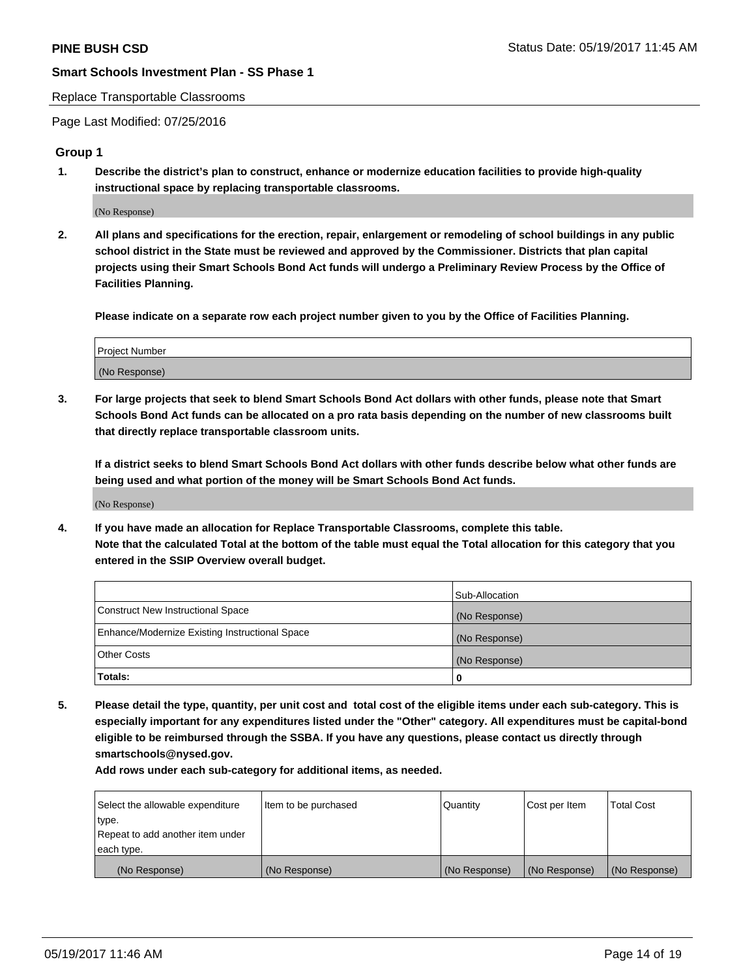#### Replace Transportable Classrooms

Page Last Modified: 07/25/2016

#### **Group 1**

**1. Describe the district's plan to construct, enhance or modernize education facilities to provide high-quality instructional space by replacing transportable classrooms.**

(No Response)

**2. All plans and specifications for the erection, repair, enlargement or remodeling of school buildings in any public school district in the State must be reviewed and approved by the Commissioner. Districts that plan capital projects using their Smart Schools Bond Act funds will undergo a Preliminary Review Process by the Office of Facilities Planning.**

**Please indicate on a separate row each project number given to you by the Office of Facilities Planning.**

| Project Number |  |
|----------------|--|
| (No Response)  |  |

**3. For large projects that seek to blend Smart Schools Bond Act dollars with other funds, please note that Smart Schools Bond Act funds can be allocated on a pro rata basis depending on the number of new classrooms built that directly replace transportable classroom units.**

**If a district seeks to blend Smart Schools Bond Act dollars with other funds describe below what other funds are being used and what portion of the money will be Smart Schools Bond Act funds.**

(No Response)

**4. If you have made an allocation for Replace Transportable Classrooms, complete this table. Note that the calculated Total at the bottom of the table must equal the Total allocation for this category that you entered in the SSIP Overview overall budget.**

|                                                | Sub-Allocation |
|------------------------------------------------|----------------|
| Construct New Instructional Space              | (No Response)  |
| Enhance/Modernize Existing Instructional Space | (No Response)  |
| Other Costs                                    | (No Response)  |
| Totals:                                        | $\Omega$       |

**5. Please detail the type, quantity, per unit cost and total cost of the eligible items under each sub-category. This is especially important for any expenditures listed under the "Other" category. All expenditures must be capital-bond eligible to be reimbursed through the SSBA. If you have any questions, please contact us directly through smartschools@nysed.gov.**

| Select the allowable expenditure | Item to be purchased | Quantity      | Cost per Item | <b>Total Cost</b> |
|----------------------------------|----------------------|---------------|---------------|-------------------|
| type.                            |                      |               |               |                   |
| Repeat to add another item under |                      |               |               |                   |
| each type.                       |                      |               |               |                   |
| (No Response)                    | (No Response)        | (No Response) | (No Response) | (No Response)     |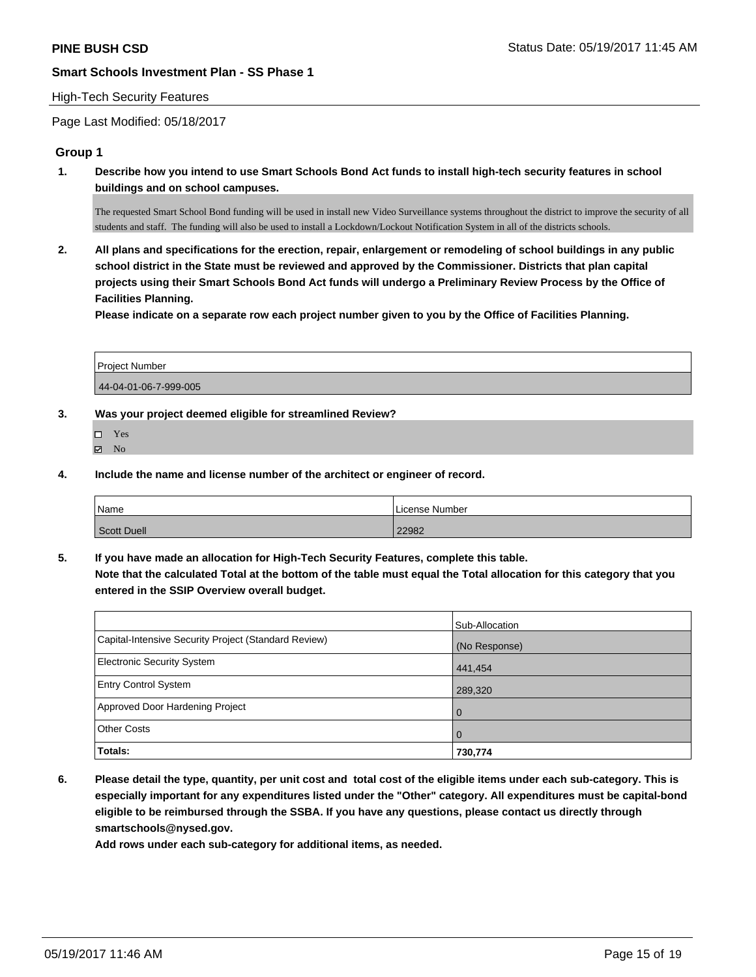#### High-Tech Security Features

Page Last Modified: 05/18/2017

#### **Group 1**

**1. Describe how you intend to use Smart Schools Bond Act funds to install high-tech security features in school buildings and on school campuses.**

The requested Smart School Bond funding will be used in install new Video Surveillance systems throughout the district to improve the security of all students and staff. The funding will also be used to install a Lockdown/Lockout Notification System in all of the districts schools.

**2. All plans and specifications for the erection, repair, enlargement or remodeling of school buildings in any public school district in the State must be reviewed and approved by the Commissioner. Districts that plan capital projects using their Smart Schools Bond Act funds will undergo a Preliminary Review Process by the Office of Facilities Planning.** 

**Please indicate on a separate row each project number given to you by the Office of Facilities Planning.**

| <b>Project Number</b> |  |
|-----------------------|--|
| 44-04-01-06-7-999-005 |  |

**3. Was your project deemed eligible for streamlined Review?**

- Yes
- $\qquad \qquad$  No
- **4. Include the name and license number of the architect or engineer of record.**

| <sup>1</sup> Name  | License Number |
|--------------------|----------------|
| <b>Scott Duell</b> | 22982          |

**5. If you have made an allocation for High-Tech Security Features, complete this table. Note that the calculated Total at the bottom of the table must equal the Total allocation for this category that you entered in the SSIP Overview overall budget.**

|                                                      | Sub-Allocation |
|------------------------------------------------------|----------------|
| Capital-Intensive Security Project (Standard Review) | (No Response)  |
| <b>Electronic Security System</b>                    | 441,454        |
| <b>Entry Control System</b>                          | 289,320        |
| Approved Door Hardening Project                      | $\Omega$       |
| <b>Other Costs</b>                                   | $\overline{0}$ |
| Totals:                                              | 730,774        |

**6. Please detail the type, quantity, per unit cost and total cost of the eligible items under each sub-category. This is especially important for any expenditures listed under the "Other" category. All expenditures must be capital-bond eligible to be reimbursed through the SSBA. If you have any questions, please contact us directly through smartschools@nysed.gov.**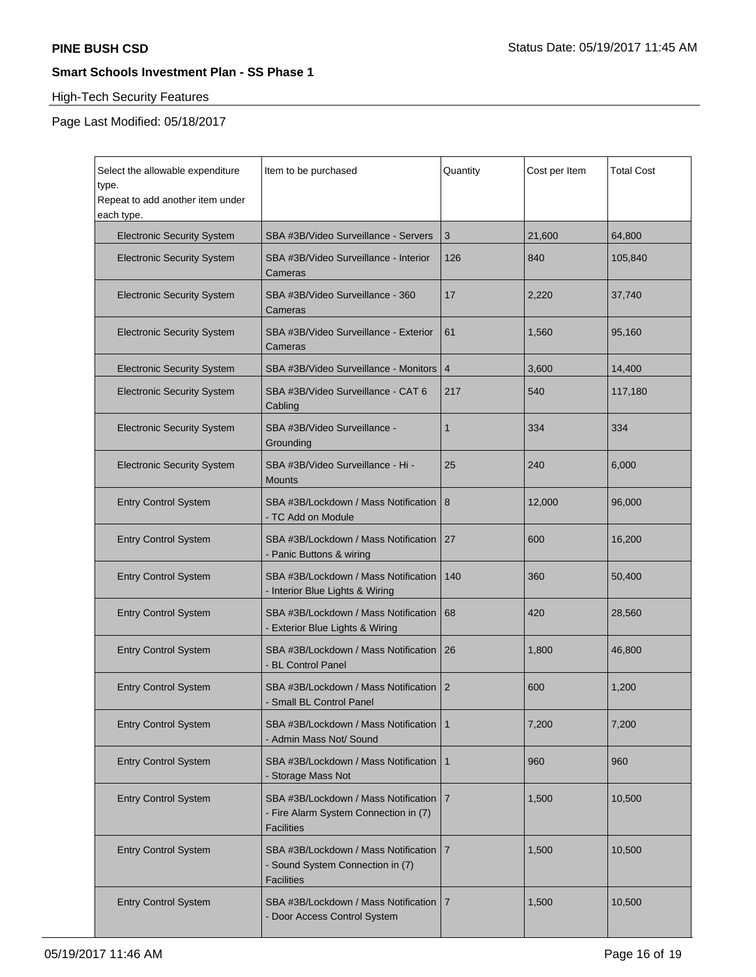# High-Tech Security Features

Page Last Modified: 05/18/2017

| Select the allowable expenditure<br>type.<br>Repeat to add another item under<br>each type. | Item to be purchased                                                                               | Quantity       | Cost per Item | <b>Total Cost</b> |
|---------------------------------------------------------------------------------------------|----------------------------------------------------------------------------------------------------|----------------|---------------|-------------------|
| <b>Electronic Security System</b>                                                           | SBA #3B/Video Surveillance - Servers                                                               | 3              | 21,600        | 64,800            |
| <b>Electronic Security System</b>                                                           | SBA #3B/Video Surveillance - Interior<br>Cameras                                                   | 126            | 840           | 105,840           |
| <b>Electronic Security System</b>                                                           | SBA #3B/Video Surveillance - 360<br>Cameras                                                        | 17             | 2,220         | 37,740            |
| <b>Electronic Security System</b>                                                           | SBA #3B/Video Surveillance - Exterior<br>Cameras                                                   | 61             | 1,560         | 95,160            |
| <b>Electronic Security System</b>                                                           | SBA #3B/Video Surveillance - Monitors                                                              | 4              | 3,600         | 14,400            |
| <b>Electronic Security System</b>                                                           | SBA #3B/Video Surveillance - CAT 6<br>Cabling                                                      | 217            | 540           | 117,180           |
| <b>Electronic Security System</b>                                                           | SBA #3B/Video Surveillance -<br>Grounding                                                          | 1              | 334           | 334               |
| <b>Electronic Security System</b>                                                           | SBA #3B/Video Surveillance - Hi -<br><b>Mounts</b>                                                 | 25             | 240           | 6,000             |
| <b>Entry Control System</b>                                                                 | SBA #3B/Lockdown / Mass Notification<br>- TC Add on Module                                         | 8              | 12,000        | 96,000            |
| <b>Entry Control System</b>                                                                 | SBA #3B/Lockdown / Mass Notification<br>- Panic Buttons & wiring                                   | 27             | 600           | 16,200            |
| <b>Entry Control System</b>                                                                 | SBA #3B/Lockdown / Mass Notification<br>- Interior Blue Lights & Wiring                            | 140            | 360           | 50,400            |
| <b>Entry Control System</b>                                                                 | SBA #3B/Lockdown / Mass Notification<br>- Exterior Blue Lights & Wiring                            | 68             | 420           | 28,560            |
| <b>Entry Control System</b>                                                                 | SBA #3B/Lockdown / Mass Notification<br>- BL Control Panel                                         | 26             | 1,800         | 46,800            |
| <b>Entry Control System</b>                                                                 | SBA #3B/Lockdown / Mass Notification<br>- Small BL Control Panel                                   | $\overline{2}$ | 600           | 1,200             |
| <b>Entry Control System</b>                                                                 | SBA #3B/Lockdown / Mass Notification<br>- Admin Mass Not/ Sound                                    | 1              | 7,200         | 7,200             |
| <b>Entry Control System</b>                                                                 | SBA #3B/Lockdown / Mass Notification<br>- Storage Mass Not                                         | 1              | 960           | 960               |
| <b>Entry Control System</b>                                                                 | SBA #3B/Lockdown / Mass Notification<br>- Fire Alarm System Connection in (7)<br><b>Facilities</b> | $\overline{7}$ | 1,500         | 10,500            |
| <b>Entry Control System</b>                                                                 | SBA #3B/Lockdown / Mass Notification<br>- Sound System Connection in (7)<br><b>Facilities</b>      | 7              | 1,500         | 10,500            |
| <b>Entry Control System</b>                                                                 | SBA #3B/Lockdown / Mass Notification<br>- Door Access Control System                               | 7              | 1,500         | 10,500            |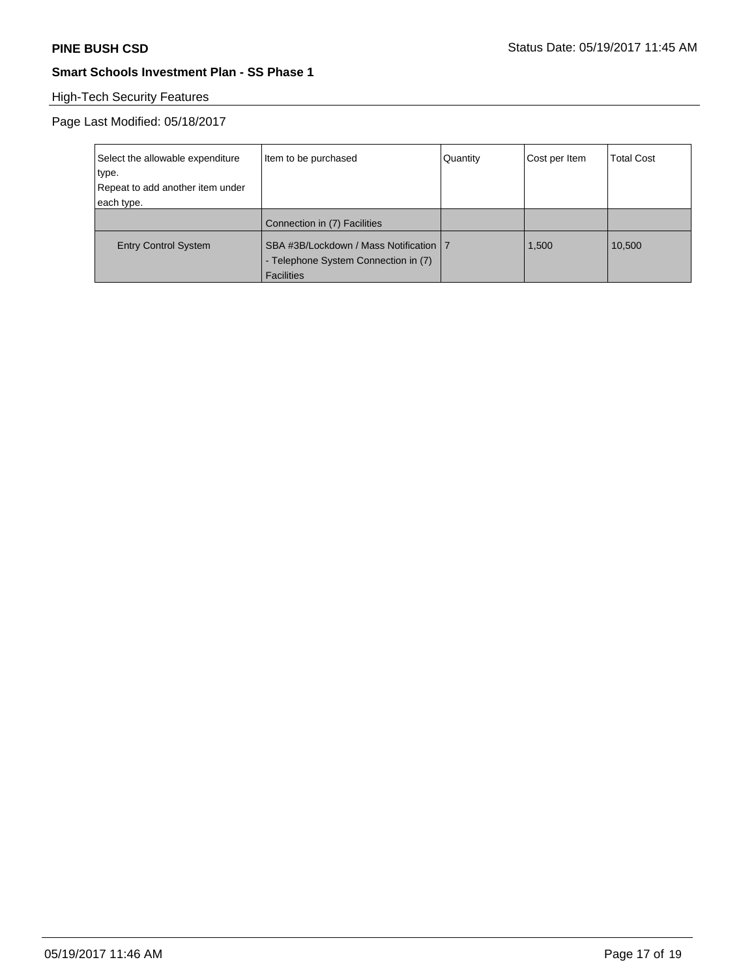# High-Tech Security Features

Page Last Modified: 05/18/2017

| Select the allowable expenditure | Item to be purchased                                                                                  | Quantity | Cost per Item | Total Cost |
|----------------------------------|-------------------------------------------------------------------------------------------------------|----------|---------------|------------|
| type.                            |                                                                                                       |          |               |            |
| Repeat to add another item under |                                                                                                       |          |               |            |
| each type.                       |                                                                                                       |          |               |            |
|                                  | Connection in (7) Facilities                                                                          |          |               |            |
| <b>Entry Control System</b>      | SBA #3B/Lockdown / Mass Notification   7<br>- Telephone System Connection in (7)<br><b>Facilities</b> |          | 1.500         | 10,500     |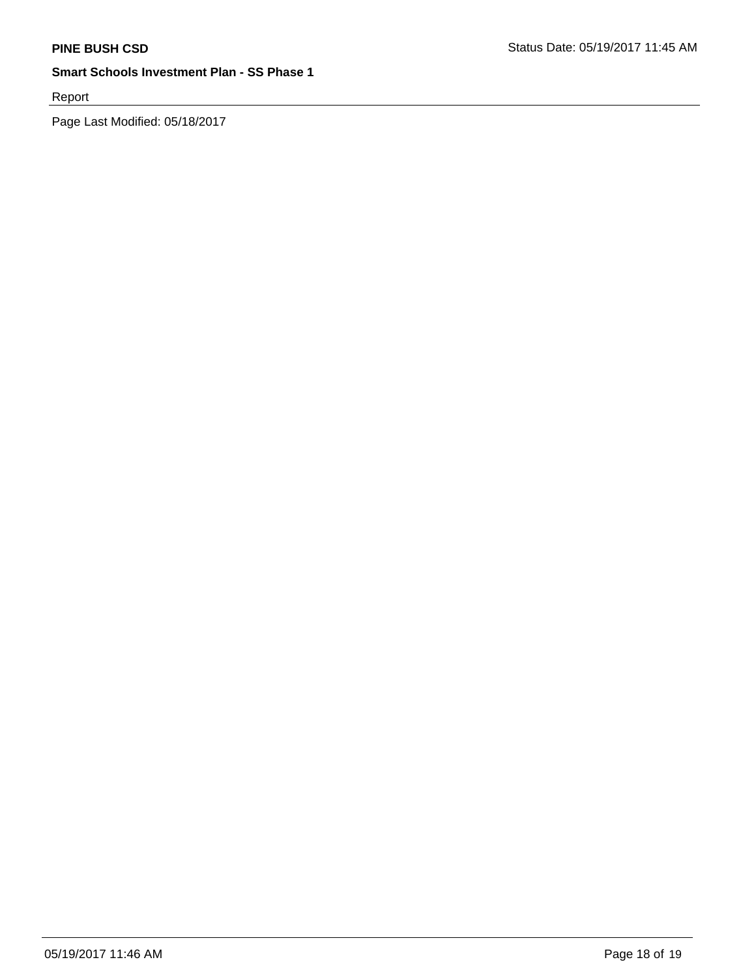Report

Page Last Modified: 05/18/2017